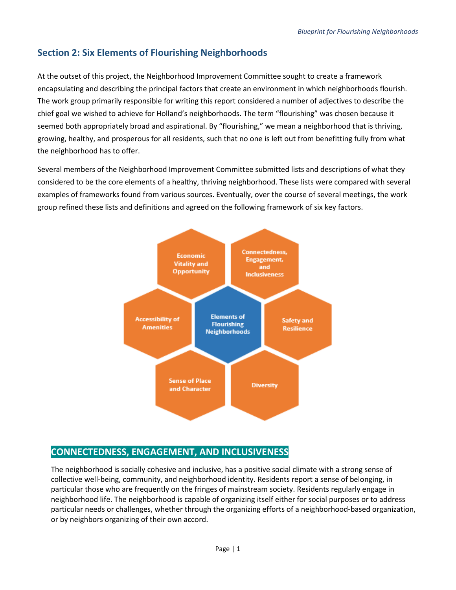# **Section 2: Six Elements of Flourishing Neighborhoods**

At the outset of this project, the Neighborhood Improvement Committee sought to create a framework encapsulating and describing the principal factors that create an environment in which neighborhoods flourish. The work group primarily responsible for writing this report considered a number of adjectives to describe the chief goal we wished to achieve for Holland's neighborhoods. The term "flourishing" was chosen because it seemed both appropriately broad and aspirational. By "flourishing," we mean a neighborhood that is thriving, growing, healthy, and prosperous for all residents, such that no one is left out from benefitting fully from what the neighborhood has to offer.

Several members of the Neighborhood Improvement Committee submitted lists and descriptions of what they considered to be the core elements of a healthy, thriving neighborhood. These lists were compared with several examples of frameworks found from various sources. Eventually, over the course of several meetings, the work group refined these lists and definitions and agreed on the following framework of six key factors.



## **CONNECTEDNESS, ENGAGEMENT, AND INCLUSIVENESS**

The neighborhood is socially cohesive and inclusive, has a positive social climate with a strong sense of collective well-being, community, and neighborhood identity. Residents report a sense of belonging, in particular those who are frequently on the fringes of mainstream society. Residents regularly engage in neighborhood life. The neighborhood is capable of organizing itself either for social purposes or to address particular needs or challenges, whether through the organizing efforts of a neighborhood-based organization, or by neighbors organizing of their own accord.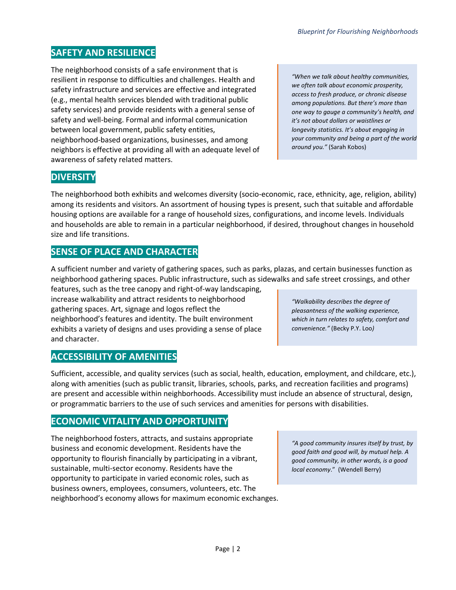*"When we talk about healthy communities, we often talk about economic prosperity,* 

*one way to gauge a community's health, and it's not about dollars or waistlines or longevity statistics. It's about engaging in your community and being a part of the world around you."* (Sarah Kobos)

*Blueprint for Flourishing Neighborhoods*

#### **SAFETY AND RESILIENCE**

The neighborhood consists of a safe environment that is resilient in response to difficulties and challenges. Health and safety infrastructure and services are effective and integrated (e.g., mental health services blended with traditional public safety services) and provide residents with a general sense of safety and well-being. Formal and informal communication between local government, public safety entities, neighborhood-based organizations, businesses, and among neighbors is effective at providing all with an adequate level of awareness of safety related matters.

### **DIVERSITY**

The neighborhood both exhibits and welcomes diversity (socio-economic, race, ethnicity, age, religion, ability) among its residents and visitors. An assortment of housing types is present, such that suitable and affordable housing options are available for a range of household sizes, configurations, and income levels. Individuals and households are able to remain in a particular neighborhood, if desired, throughout changes in household size and life transitions.

### **SENSE OF PLACE AND CHARACTER**

A sufficient number and variety of gathering spaces, such as parks, plazas, and certain businesses function as neighborhood gathering spaces. Public infrastructure, such as sidewalks and safe street crossings, and other

features, such as the tree canopy and right-of-way landscaping, increase walkability and attract residents to neighborhood gathering spaces. Art, signage and logos reflect the neighborhood's features and identity. The built environment exhibits a variety of designs and uses providing a sense of place and character.

### **ACCESSIBILITY OF AMENITIES**

Sufficient, accessible, and quality services (such as social, health, education, employment, and childcare, etc.), along with amenities (such as public transit, libraries, schools, parks, and recreation facilities and programs) are present and accessible within neighborhoods. Accessibility must include an absence of structural, design, or programmatic barriers to the use of such services and amenities for persons with disabilities.

### **ECONOMIC VITALITY AND OPPORTUNITY**

The neighborhood fosters, attracts, and sustains appropriate business and economic development. Residents have the opportunity to flourish financially by participating in a vibrant, sustainable, multi-sector economy. Residents have the opportunity to participate in varied economic roles, such as business owners, employees, consumers, volunteers, etc. The neighborhood's economy allows for maximum economic exchanges.

*"A good community insures itself by trust, by good faith and good will, by mutual help. A good community, in other words, is a good local economy*." (Wendell Berry)

*"Walkability describes the degree of pleasantness of the walking experience, which in turn relates to safety, comfort and convenience."* (Becky P.Y. Loo*)*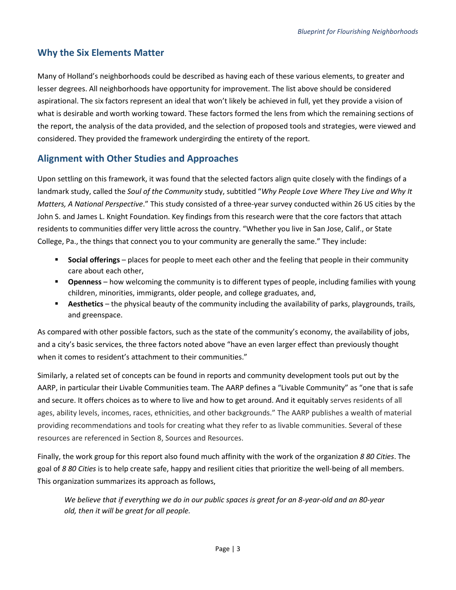## **Why the Six Elements Matter**

Many of Holland's neighborhoods could be described as having each of these various elements, to greater and lesser degrees. All neighborhoods have opportunity for improvement. The list above should be considered aspirational. The six factors represent an ideal that won't likely be achieved in full, yet they provide a vision of what is desirable and worth working toward. These factors formed the lens from which the remaining sections of the report, the analysis of the data provided, and the selection of proposed tools and strategies, were viewed and considered. They provided the framework undergirding the entirety of the report.

## **Alignment with Other Studies and Approaches**

Upon settling on this framework, it was found that the selected factors align quite closely with the findings of a landmark study, called the *Soul of the Community* study, subtitled "*Why People Love Where They Live and Why It Matters, A National Perspective*." This study consisted of a three-year survey conducted within 26 US cities by the John S. and James L. Knight Foundation. Key findings from this research were that the core factors that attach residents to communities differ very little across the country. "Whether you live in San Jose, Calif., or State College, Pa., the things that connect you to your community are generally the same." They include:

- **Social offerings** places for people to meet each other and the feeling that people in their community care about each other,
- **Openness** how welcoming the community is to different types of people, including families with young children, minorities, immigrants, older people, and college graduates, and,
- **Aesthetics** the physical beauty of the community including the availability of parks, playgrounds, trails, and greenspace.

As compared with other possible factors, such as the state of the community's economy, the availability of jobs, and a city's basic services, the three factors noted above "have an even larger effect than previously thought when it comes to resident's attachment to their communities."

Similarly, a related set of concepts can be found in reports and community development tools put out by the AARP, in particular their Livable Communities team. The AARP defines a "Livable Community" as "one that is safe and secure. It offers choices as to where to live and how to get around. And it equitably serves residents of all ages, ability levels, incomes, races, ethnicities, and other backgrounds." The AARP publishes a wealth of material providing recommendations and tools for creating what they refer to as livable communities. Several of these resources are referenced in Section 8, Sources and Resources.

Finally, the work group for this report also found much affinity with the work of the organization *8 80 Cities*. The goal of *8 80 Cities* is to help create safe, happy and resilient cities that prioritize the well-being of all members. This organization summarizes its approach as follows,

*We believe that if everything we do in our public spaces is great for an 8-year-old and an 80-year old, then it will be great for all people.*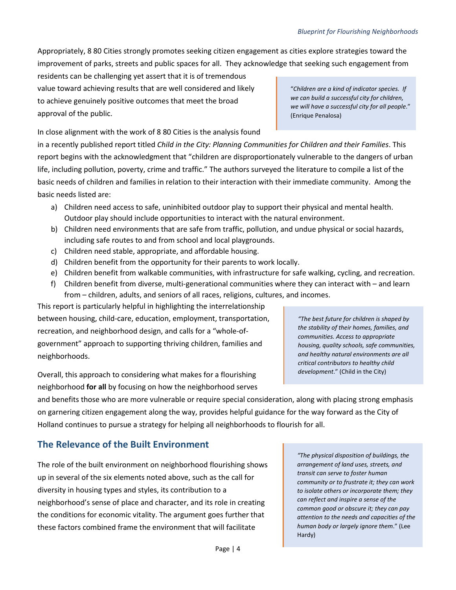"*Children are a kind of indicator species. If we can build a successful city for children, we will have a successful city for all people*."

(Enrique Penalosa)

Appropriately, 8 80 Cities strongly promotes seeking citizen engagement as cities explore strategies toward the improvement of parks, streets and public spaces for all. They acknowledge that seeking such engagement from

residents can be challenging yet assert that it is of tremendous value toward achieving results that are well considered and likely to achieve genuinely positive outcomes that meet the broad approval of the public.

In close alignment with the work of 8 80 Cities is the analysis found

in a recently published report titled *Child in the City: Planning Communities for Children and their Families*. This report begins with the acknowledgment that "children are disproportionately vulnerable to the dangers of urban life, including pollution, poverty, crime and traffic." The authors surveyed the literature to compile a list of the basic needs of children and families in relation to their interaction with their immediate community. Among the basic needs listed are:

- a) Children need access to safe, uninhibited outdoor play to support their physical and mental health. Outdoor play should include opportunities to interact with the natural environment.
- b) Children need environments that are safe from traffic, pollution, and undue physical or social hazards, including safe routes to and from school and local playgrounds.
- c) Children need stable, appropriate, and affordable housing.
- d) Children benefit from the opportunity for their parents to work locally.
- e) Children benefit from walkable communities, with infrastructure for safe walking, cycling, and recreation.
- f) Children benefit from diverse, multi-generational communities where they can interact with and learn from – children, adults, and seniors of all races, religions, cultures, and incomes.

This report is particularly helpful in highlighting the interrelationship between housing, child-care, education, employment, transportation, recreation, and neighborhood design, and calls for a "whole-ofgovernment" approach to supporting thriving children, families and neighborhoods.

Overall, this approach to considering what makes for a flourishing neighborhood **for all** by focusing on how the neighborhood serves

*"The best future for children is shaped by the stability of their homes, families, and communities. Access to appropriate housing, quality schools, safe communities, and healthy natural environments are all critical contributors to healthy child development*." (Child in the City)

and benefits those who are more vulnerable or require special consideration, along with placing strong emphasis on garnering citizen engagement along the way, provides helpful guidance for the way forward as the City of Holland continues to pursue a strategy for helping all neighborhoods to flourish for all.

# **The Relevance of the Built Environment**

The role of the built environment on neighborhood flourishing shows up in several of the six elements noted above, such as the call for diversity in housing types and styles, its contribution to a neighborhood's sense of place and character, and its role in creating the conditions for economic vitality. The argument goes further that these factors combined frame the environment that will facilitate

*"The physical disposition of buildings, the arrangement of land uses, streets, and transit can serve to foster human community or to frustrate it; they can work to isolate others or incorporate them; they can reflect and inspire a sense of the common good or obscure it; they can pay attention to the needs and capacities of the human body or largely ignore them*." (Lee Hardy)